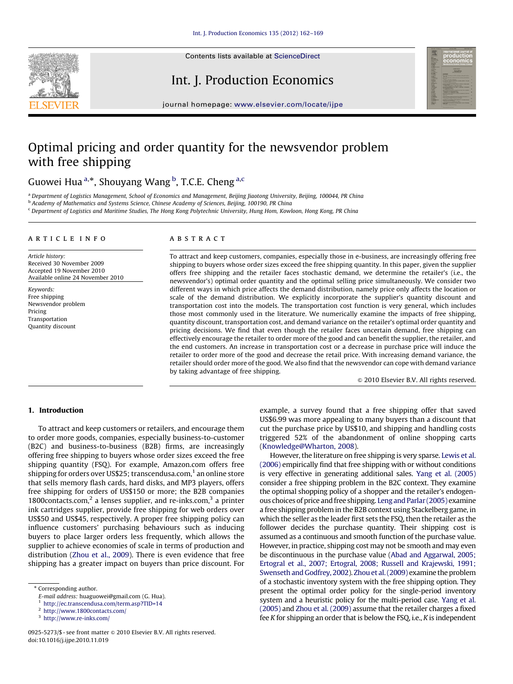

Contents lists available at ScienceDirect

# Int. J. Production Economics



journal homepage: <www.elsevier.com/locate/ijpe>

# Optimal pricing and order quantity for the newsvendor problem with free shipping

# Guowei Hua <sup>a,\*</sup>, Shouyang Wang <sup>b</sup>, T.C.E. Cheng <sup>a,c</sup>

<sup>a</sup> Department of Logistics Management, School of Economics and Management, Beijing Jiaotong University, Beijing, 100044, PR China

b Academy of Mathematics and Systems Science, Chinese Academy of Sciences, Beijing, 100190, PR China

<sup>c</sup> Department of Logistics and Maritime Studies, The Hong Kong Polytechnic University, Hung Hom, Kowloon, Hong Kong, PR China

### article info

Article history: Received 30 November 2009 Accepted 19 November 2010 Available online 24 November 2010

Keywords: Free shipping Newsvendor problem Pricing Transportation Quantity discount

## **ABSTRACT**

To attract and keep customers, companies, especially those in e-business, are increasingly offering free shipping to buyers whose order sizes exceed the free shipping quantity. In this paper, given the supplier offers free shipping and the retailer faces stochastic demand, we determine the retailer's (i.e., the newsvendor's) optimal order quantity and the optimal selling price simultaneously. We consider two different ways in which price affects the demand distribution, namely price only affects the location or scale of the demand distribution. We explicitly incorporate the supplier's quantity discount and transportation cost into the models. The transportation cost function is very general, which includes those most commonly used in the literature. We numerically examine the impacts of free shipping, quantity discount, transportation cost, and demand variance on the retailer's optimal order quantity and pricing decisions. We find that even though the retailer faces uncertain demand, free shipping can effectively encourage the retailer to order more of the good and can benefit the supplier, the retailer, and the end customers. An increase in transportation cost or a decrease in purchase price will induce the retailer to order more of the good and decrease the retail price. With increasing demand variance, the retailer should order more of the good. We also find that the newsvendor can cope with demand variance by taking advantage of free shipping.

 $\odot$  2010 Elsevier B.V. All rights reserved.

# 1. Introduction

To attract and keep customers or retailers, and encourage them to order more goods, companies, especially business-to-customer (B2C) and business-to-business (B2B) firms, are increasingly offering free shipping to buyers whose order sizes exceed the free shipping quantity (FSQ). For example, Amazon.com offers free shipping for orders over US\$25; transcendusa.com, $<sup>1</sup>$  an online store</sup> that sells memory flash cards, hard disks, and MP3 players, offers free shipping for orders of US\$150 or more; the B2B companies 1800 $\text{constants.com}$ , a lenses supplier, and re-inks.com,<sup>3</sup> a printer ink cartridges supplier, provide free shipping for web orders over US\$50 and US\$45, respectively. A proper free shipping policy can influence customers' purchasing behaviours such as inducing buyers to place larger orders less frequently, which allows the supplier to achieve economies of scale in terms of production and distribution [\(Zhou et al., 2009](#page--1-0)). There is even evidence that free shipping has a greater impact on buyers than price discount. For example, a survey found that a free shipping offer that saved US\$6.99 was more appealing to many buyers than a discount that cut the purchase price by US\$10, and shipping and handling costs triggered 52% of the abandonment of online shopping carts ([Knowledge@Wharton, 2008](#page--1-0)).

However, the literature on free shipping is very sparse. [Lewis et al.](#page--1-0) [\(2006\)](#page--1-0) empirically find that free shipping with or without conditions is very effective in generating additional sales. [Yang et al. \(2005\)](#page--1-0) consider a free shipping problem in the B2C context. They examine the optimal shopping policy of a shopper and the retailer's endogenous choices of price and free shipping. [Leng and Parlar \(2005\)](#page--1-0) examine a free shipping problem in the B2B context using Stackelberg game, in which the seller as the leader first sets the FSQ, then the retailer as the follower decides the purchase quantity. Their shipping cost is assumed as a continuous and smooth function of the purchase value. However, in practice, shipping cost may not be smooth and may even be discontinuous in the purchase value [\(Abad and Aggarwal, 2005;](#page--1-0) [Ertogral et al., 2007; Ertogral, 2008; Russell and Krajewski, 1991;](#page--1-0) [Swenseth and Godfrey, 2002\)](#page--1-0). [Zhou et al. \(2009\)](#page--1-0) examine the problem of a stochastic inventory system with the free shipping option. They present the optimal order policy for the single-period inventory system and a heuristic policy for the multi-period case. [Yang et al.](#page--1-0) [\(2005\)](#page--1-0) and [Zhou et al. \(2009\)](#page--1-0) assume that the retailer charges a fixed fee K for shipping an order that is below the FSQ, i.e., K is independent

<sup>\*</sup> Corresponding author.

E-mail address: [huaguowei@gmail.com \(G. Hua\).](mailto:huaguowei@gmail.com)

<sup>1</sup> <http://ec.transcendusa.com/term.asp?TID=14>

<sup>2</sup> <http://www.1800contacts.com/>

<sup>3</sup> <http://www.re-inks.com/>

<sup>0925-5273/\$ -</sup> see front matter @ 2010 Elsevier B.V. All rights reserved. doi:[10.1016/j.ijpe.2010.11.019](dx.doi.org/10.1016/j.ijpe.2010.11.019)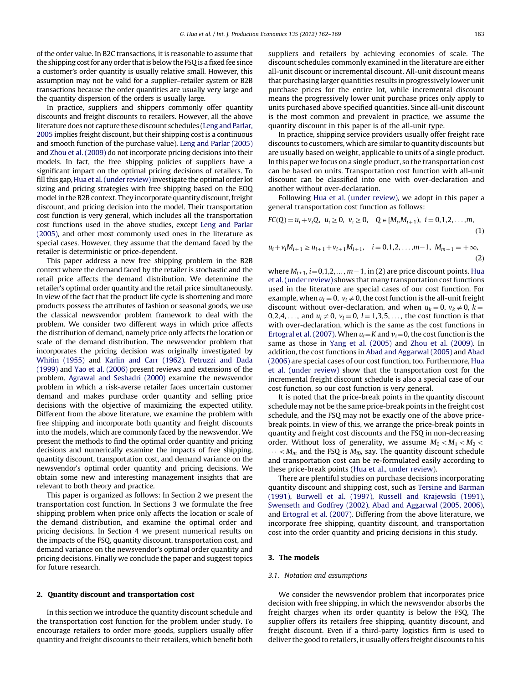of the order value. In B2C transactions, it is reasonable to assume that the shipping cost for any order that is below the FSQ is a fixed fee since a customer's order quantity is usually relative small. However, this assumption may not be valid for a supplier–retailer system or B2B transactions because the order quantities are usually very large and the quantity dispersion of the orders is usually large.

In practice, suppliers and shippers commonly offer quantity discounts and freight discounts to retailers. However, all the above literature does not capture these discount schedules ([Leng and Parlar,](#page--1-0) [2005](#page--1-0) implies freight discount, but their shipping cost is a continuous and smooth function of the purchase value). [Leng and Parlar \(2005\)](#page--1-0) and [Zhou et al. \(2009\)](#page--1-0) do not incorporate pricing decisions into their models. In fact, the free shipping policies of suppliers have a significant impact on the optimal pricing decisions of retailers. To fill this gap, [Hua et al. \(under review\)](#page--1-0) investigate the optimal order lot sizing and pricing strategies with free shipping based on the EOQ model in the B2B context. They incorporate quantity discount, freight discount, and pricing decision into the model. Their transportation cost function is very general, which includes all the transportation cost functions used in the above studies, except [Leng and Parlar](#page--1-0) [\(2005\)](#page--1-0), and other most commonly used ones in the literature as special cases. However, they assume that the demand faced by the retailer is deterministic or price-dependent.

This paper address a new free shipping problem in the B2B context where the demand faced by the retailer is stochastic and the retail price affects the demand distribution. We determine the retailer's optimal order quantity and the retail price simultaneously. In view of the fact that the product life cycle is shortening and more products possess the attributes of fashion or seasonal goods, we use the classical newsvendor problem framework to deal with the problem. We consider two different ways in which price affects the distribution of demand, namely price only affects the location or scale of the demand distribution. The newsvendor problem that incorporates the pricing decision was originally investigated by [Whitin \(1955\)](#page--1-0) and [Karlin and Carr \(1962\).](#page--1-0) [Petruzzi and Dada](#page--1-0) [\(1999\)](#page--1-0) and [Yao et al. \(2006\)](#page--1-0) present reviews and extensions of the problem. [Agrawal and Seshadri \(2000\)](#page--1-0) examine the newsvendor problem in which a risk-averse retailer faces uncertain customer demand and makes purchase order quantity and selling price decisions with the objective of maximizing the expected utility. Different from the above literature, we examine the problem with free shipping and incorporate both quantity and freight discounts into the models, which are commonly faced by the newsvendor. We present the methods to find the optimal order quantity and pricing decisions and numerically examine the impacts of free shipping, quantity discount, transportation cost, and demand variance on the newsvendor's optimal order quantity and pricing decisions. We obtain some new and interesting management insights that are relevant to both theory and practice.

This paper is organized as follows: In Section 2 we present the transportation cost function. In Sections 3 we formulate the free shipping problem when price only affects the location or scale of the demand distribution, and examine the optimal order and pricing decisions. In Section 4 we present numerical results on the impacts of the FSQ, quantity discount, transportation cost, and demand variance on the newsvendor's optimal order quantity and pricing decisions. Finally we conclude the paper and suggest topics for future research.

#### 2. Quantity discount and transportation cost

In this section we introduce the quantity discount schedule and the transportation cost function for the problem under study. To encourage retailers to order more goods, suppliers usually offer quantity and freight discounts to their retailers, which benefit both suppliers and retailers by achieving economies of scale. The discount schedules commonly examined in the literature are either all-unit discount or incremental discount. All-unit discount means that purchasing larger quantities results in progressively lower unit purchase prices for the entire lot, while incremental discount means the progressively lower unit purchase prices only apply to units purchased above specified quantities. Since all-unit discount is the most common and prevalent in practice, we assume the quantity discount in this paper is of the all-unit type.

In practice, shipping service providers usually offer freight rate discounts to customers, which are similar to quantity discounts but are usually based on weight, applicable to units of a single product. In this paper we focus on a single product, so the transportation cost can be based on units. Transportation cost function with all-unit discount can be classified into one with over-declaration and another without over-declaration.

Following [Hua et al. \(under review\)](#page--1-0), we adopt in this paper a general transportation cost function as follows:

$$
FC(Q) = u_i + v_i Q, \ u_i \ge 0, \ v_i \ge 0, \quad Q \in [M_i, M_{i+1}), \ i = 0, 1, 2, \dots, m,
$$
\n(1)

$$
u_i + v_i M_{i+1} \ge u_{i+1} + v_{i+1} M_{i+1}, \quad i = 0, 1, 2, \dots, m-1, \ M_{m+1} = +\infty,
$$
\n(2)

where  $M_{i+1}$ ,  $i=0,1,2,\ldots, m-1$ , in (2) are price discount points. [Hua](#page--1-0) [et al. \(under review\)](#page--1-0) shows that many transportation cost functions used in the literature are special cases of our cost function. For example, when  $u_i = 0$ ,  $v_i \neq 0$ , the cost function is the all-unit freight discount without over-declaration, and when  $u_k = 0$ ,  $v_k \neq 0$ ,  $k =$ 0,2,4, ..., and  $u_1 \neq 0$ ,  $v_1 = 0$ ,  $l = 1,3,5,...$ , the cost function is that with over-declaration, which is the same as the cost functions in [Ertogral et al. \(2007\).](#page--1-0) When  $u_i = K$  and  $v_i = 0$ , the cost function is the same as those in [Yang et al. \(2005\)](#page--1-0) and [Zhou et al. \(2009\)](#page--1-0). In addition, the cost functions in [Abad and Aggarwal \(2005\)](#page--1-0) and [Abad](#page--1-0) [\(2006\)](#page--1-0) are special cases of our cost function, too. Furthermore, [Hua](#page--1-0) [et al. \(under review\)](#page--1-0) show that the transportation cost for the incremental freight discount schedule is also a special case of our cost function, so our cost function is very general.

It is noted that the price-break points in the quantity discount schedule may not be the same price-break points in the freight cost schedule, and the FSQ may not be exactly one of the above pricebreak points. In view of this, we arrange the price-break points in quantity and freight cost discounts and the FSQ in non-decreasing order. Without loss of generality, we assume  $M_0 < M_1 < M_2 <$  $\cdots < M_m$  and the FSQ is  $M_{i0}$ , say. The quantity discount schedule and transportation cost can be re-formulated easily according to these price-break points [\(Hua et al., under review\)](#page--1-0).

There are plentiful studies on purchase decisions incorporating quantity discount and shipping cost, such as [Tersine and Barman](#page--1-0) [\(1991\),](#page--1-0) [Burwell et al. \(1997\)](#page--1-0), [Russell and Krajewski \(1991\),](#page--1-0) [Swenseth and Godfrey \(2002\)](#page--1-0), [Abad and Aggarwal \(2005, 2006\),](#page--1-0) and [Ertogral et al. \(2007\)](#page--1-0). Differing from the above literature, we incorporate free shipping, quantity discount, and transportation cost into the order quantity and pricing decisions in this study.

### 3. The models

### 3.1. Notation and assumptions

We consider the newsvendor problem that incorporates price decision with free shipping, in which the newsvendor absorbs the freight charges when its order quantity is below the FSQ. The supplier offers its retailers free shipping, quantity discount, and freight discount. Even if a third-party logistics firm is used to deliver the good to retailers, it usually offers freight discounts to his